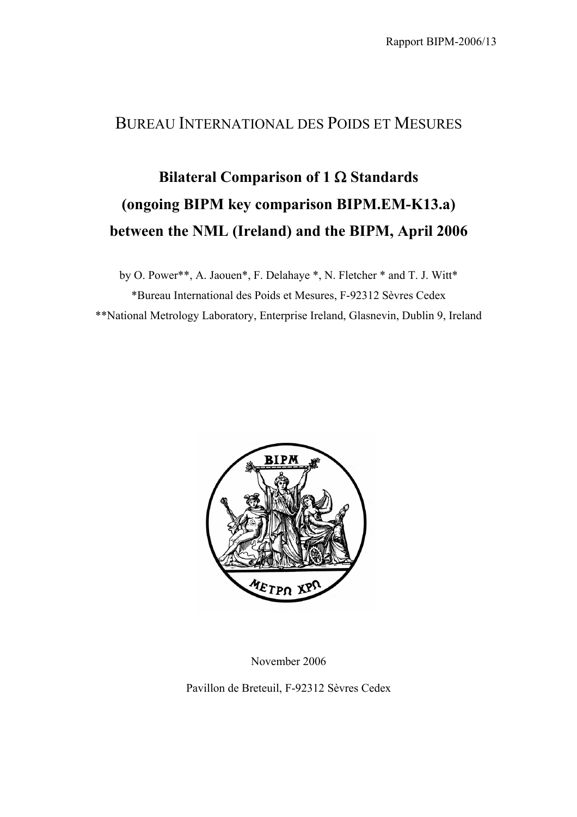## BUREAU INTERNATIONAL DES POIDS ET MESURES

## **Bilateral Comparison of 1** Ω **Standards (ongoing BIPM key comparison BIPM.EM-K13.a) between the NML (Ireland) and the BIPM, April 2006**

by O. Power\*\*, A. Jaouen\*, F. Delahaye \*, N. Fletcher \* and T. J. Witt\* \*Bureau International des Poids et Mesures, F-92312 Sèvres Cedex \*\*National Metrology Laboratory, Enterprise Ireland, Glasnevin, Dublin 9, Ireland



November 2006

Pavillon de Breteuil, F-92312 Sèvres Cedex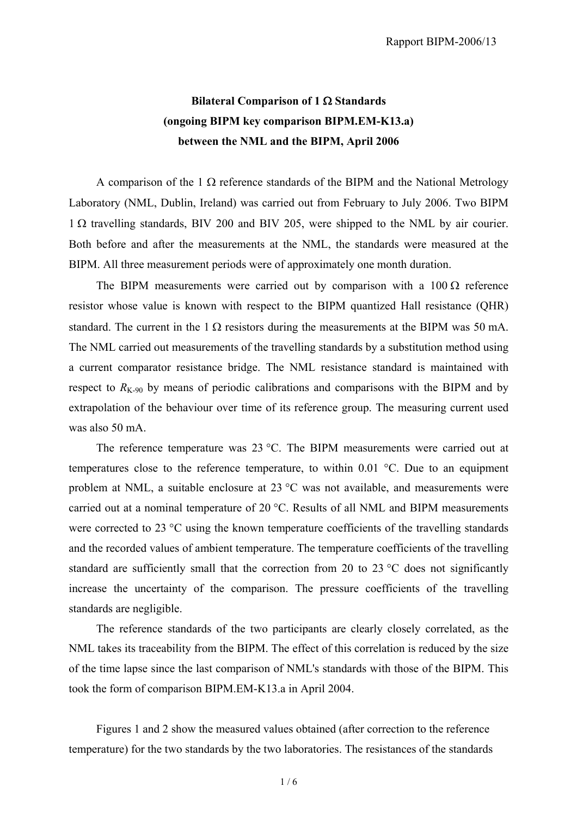## **Bilateral Comparison of 1** Ω **Standards (ongoing BIPM key comparison BIPM.EM-K13.a) between the NML and the BIPM, April 2006**

A comparison of the 1  $\Omega$  reference standards of the BIPM and the National Metrology Laboratory (NML, Dublin, Ireland) was carried out from February to July 2006. Two BIPM 1 Ω travelling standards, BIV 200 and BIV 205, were shipped to the NML by air courier. Both before and after the measurements at the NML, the standards were measured at the BIPM. All three measurement periods were of approximately one month duration.

The BIPM measurements were carried out by comparison with a  $100 \Omega$  reference resistor whose value is known with respect to the BIPM quantized Hall resistance (QHR) standard. The current in the 1  $\Omega$  resistors during the measurements at the BIPM was 50 mA. The NML carried out measurements of the travelling standards by a substitution method using a current comparator resistance bridge. The NML resistance standard is maintained with respect to  $R_{K-90}$  by means of periodic calibrations and comparisons with the BIPM and by extrapolation of the behaviour over time of its reference group. The measuring current used was also 50 mA.

The reference temperature was 23 °C. The BIPM measurements were carried out at temperatures close to the reference temperature, to within 0.01 °C. Due to an equipment problem at NML, a suitable enclosure at 23 °C was not available, and measurements were carried out at a nominal temperature of 20 °C. Results of all NML and BIPM measurements were corrected to 23 °C using the known temperature coefficients of the travelling standards and the recorded values of ambient temperature. The temperature coefficients of the travelling standard are sufficiently small that the correction from 20 to 23  $\degree$ C does not significantly increase the uncertainty of the comparison. The pressure coefficients of the travelling standards are negligible.

The reference standards of the two participants are clearly closely correlated, as the NML takes its traceability from the BIPM. The effect of this correlation is reduced by the size of the time lapse since the last comparison of NML's standards with those of the BIPM. This took the form of comparison BIPM.EM-K13.a in April 2004.

Figures 1 and 2 show the measured values obtained (after correction to the reference temperature) for the two standards by the two laboratories. The resistances of the standards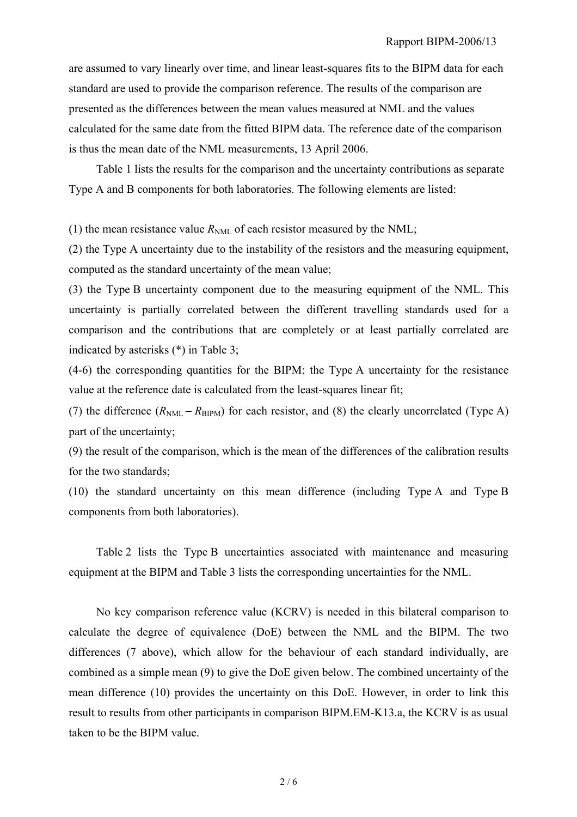are assumed to vary linearly over time, and linear least-squares fits to the BIPM data for each standard are used to provide the comparison reference. The results of the comparison are presented as the differences between the mean values measured at NML and the values calculated for the same date from the fitted BIPM data. The reference date of the comparison is thus the mean date of the NML measurements, 13 April 2006.

Table 1 lists the results for the comparison and the uncertainty contributions as separate Type A and B components for both laboratories. The following elements are listed:

(1) the mean resistance value  $R_{NML}$  of each resistor measured by the NML;

(2) the Type A uncertainty due to the instability of the resistors and the measuring equipment, computed as the standard uncertainty of the mean value;

(3) the Type B uncertainty component due to the measuring equipment of the NML. This uncertainty is partially correlated between the different travelling standards used for a comparison and the contributions that are completely or at least partially correlated are indicated by asterisks (\*) in Table 3;

(4-6) the corresponding quantities for the BIPM; the Type A uncertainty for the resistance value at the reference date is calculated from the least-squares linear fit;

(7) the difference  $(R_{NML} - R_{RIPM})$  for each resistor, and (8) the clearly uncorrelated (Type A) part of the uncertainty;

(9) the result of the comparison, which is the mean of the differences of the calibration results for the two standards;

(10) the standard uncertainty on this mean difference (including Type A and Type B components from both laboratories).

Table 2 lists the Type B uncertainties associated with maintenance and measuring equipment at the BIPM and Table 3 lists the corresponding uncertainties for the NML.

 No key comparison reference value (KCRV) is needed in this bilateral comparison to calculate the degree of equivalence (DoE) between the NML and the BIPM. The two differences (7 above), which allow for the behaviour of each standard individually, are combined as a simple mean (9) to give the DoE given below. The combined uncertainty of the mean difference (10) provides the uncertainty on this DoE. However, in order to link this result to results from other participants in comparison BIPM.EM-K13.a, the KCRV is as usual taken to be the BIPM value.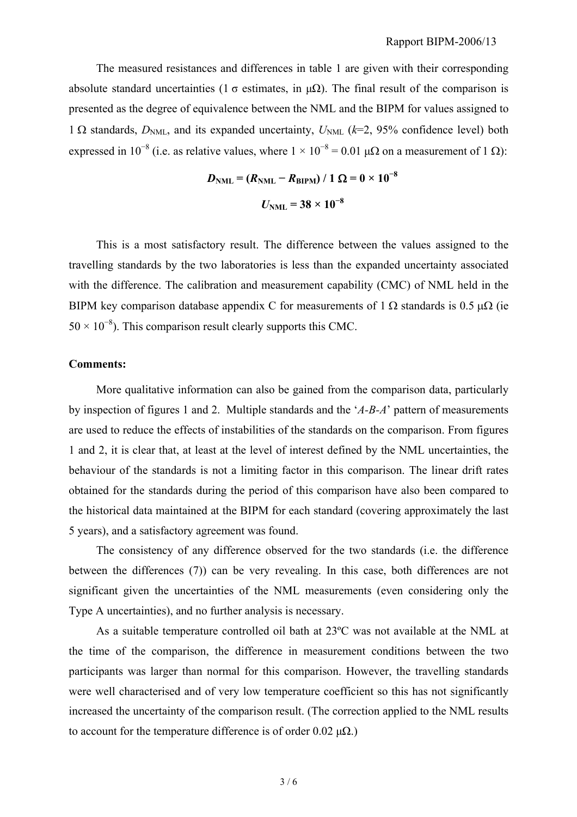The measured resistances and differences in table 1 are given with their corresponding absolute standard uncertainties (1  $\sigma$  estimates, in  $\mu\Omega$ ). The final result of the comparison is presented as the degree of equivalence between the NML and the BIPM for values assigned to 1  $\Omega$  standards,  $D_{NML}$ , and its expanded uncertainty,  $U_{NML}$  ( $k=2$ , 95% confidence level) both expressed in 10<sup>-8</sup> (i.e. as relative values, where  $1 \times 10^{-8} = 0.01 \mu\Omega$  on a measurement of 1 Ω):

$$
D_{\text{NML}} = (R_{\text{NML}} - R_{\text{BIPM}}) / 1 \Omega = 0 \times 10^{-8}
$$
  
 $U_{\text{NML}} = 38 \times 10^{-8}$ 

This is a most satisfactory result. The difference between the values assigned to the travelling standards by the two laboratories is less than the expanded uncertainty associated with the difference. The calibration and measurement capability (CMC) of NML held in the BIPM key comparison database appendix C for measurements of 1  $\Omega$  standards is 0.5 μ $\Omega$  (ie  $50 \times 10^{-8}$ ). This comparison result clearly supports this CMC.

## **Comments:**

 More qualitative information can also be gained from the comparison data, particularly by inspection of figures 1 and 2. Multiple standards and the '*A-B-A*' pattern of measurements are used to reduce the effects of instabilities of the standards on the comparison. From figures 1 and 2, it is clear that, at least at the level of interest defined by the NML uncertainties, the behaviour of the standards is not a limiting factor in this comparison. The linear drift rates obtained for the standards during the period of this comparison have also been compared to the historical data maintained at the BIPM for each standard (covering approximately the last 5 years), and a satisfactory agreement was found.

 The consistency of any difference observed for the two standards (i.e. the difference between the differences (7)) can be very revealing. In this case, both differences are not significant given the uncertainties of the NML measurements (even considering only the Type A uncertainties), and no further analysis is necessary.

 As a suitable temperature controlled oil bath at 23ºC was not available at the NML at the time of the comparison, the difference in measurement conditions between the two participants was larger than normal for this comparison. However, the travelling standards were well characterised and of very low temperature coefficient so this has not significantly increased the uncertainty of the comparison result. (The correction applied to the NML results to account for the temperature difference is of order 0.02  $\mu\Omega$ .)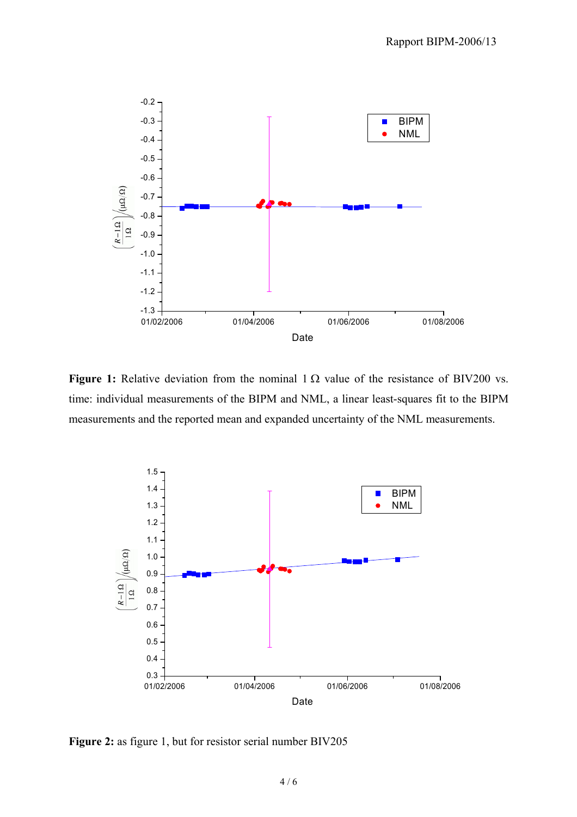

**Figure 1:** Relative deviation from the nominal  $1 \Omega$  value of the resistance of BIV200 vs. time: individual measurements of the BIPM and NML, a linear least-squares fit to the BIPM measurements and the reported mean and expanded uncertainty of the NML measurements.



**Figure 2:** as figure 1, but for resistor serial number BIV205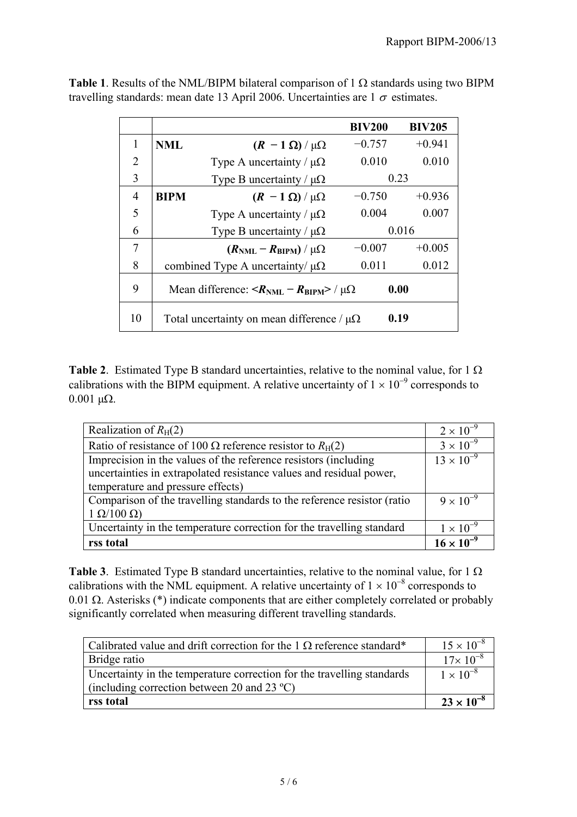|                |                                                                                 | <b>BIV200</b> | <b>BIV205</b> |  |
|----------------|---------------------------------------------------------------------------------|---------------|---------------|--|
| 1              | <b>NML</b><br>$(R - 1 \Omega) / \mu\Omega$                                      | $-0.757$      | $+0.941$      |  |
| $\overline{2}$ | Type A uncertainty / $\mu\Omega$                                                | 0.010         | 0.010         |  |
| 3              | Type B uncertainty / $\mu\Omega$                                                | 0.23          |               |  |
| 4              | <b>BIPM</b><br>$(R - 1 \Omega)/\mu\Omega$                                       | $-0.750$      | $+0.936$      |  |
| 5              | Type A uncertainty / $\mu\Omega$                                                | 0.004         | 0.007         |  |
| 6              | Type B uncertainty / $\mu\Omega$                                                |               | 0.016         |  |
| 7              | $(R_{\text{NML}} - R_{\text{BIPM}})/\mu\Omega$                                  | $-0.007$      | $+0.005$      |  |
| 8              | combined Type A uncertainty/ $\mu\Omega$                                        | 0.011         | 0.012         |  |
| 9              | Mean difference: $\langle R_{\text{NML}} - R_{\text{BIPM}} \rangle / \mu\Omega$ | 0.00          |               |  |
| 10             | Total uncertainty on mean difference / $\mu\Omega$                              | 0.19          |               |  |

**Table 1**. Results of the NML/BIPM bilateral comparison of 1  $\Omega$  standards using two BIPM travelling standards: mean date 13 April 2006. Uncertainties are  $1 \sigma$  estimates.

**Table 2**. Estimated Type B standard uncertainties, relative to the nominal value, for 1  $\Omega$ calibrations with the BIPM equipment. A relative uncertainty of  $1 \times 10^{-9}$  corresponds to  $0.001$  μΩ.

| Realization of $R_H(2)$                                                 | $2 \times 10^{-9}$  |
|-------------------------------------------------------------------------|---------------------|
| Ratio of resistance of 100 $\Omega$ reference resistor to $R_H(2)$      | $3 \times 10^{-9}$  |
| Imprecision in the values of the reference resistors (including         | $13 \times 10^{-9}$ |
| uncertainties in extrapolated resistance values and residual power,     |                     |
| temperature and pressure effects)                                       |                     |
| Comparison of the travelling standards to the reference resistor (ratio | $9 \times 10^{-9}$  |
| $1 \Omega/100 \Omega$                                                   |                     |
| Uncertainty in the temperature correction for the travelling standard   | $1 \times 10^{-9}$  |
| rss total                                                               | $16 \times 10^{-9}$ |

**Table 3**. Estimated Type B standard uncertainties, relative to the nominal value, for 1 Ω calibrations with the NML equipment. A relative uncertainty of  $1 \times 10^{-8}$  corresponds to 0.01 Ω. Asterisks (\*) indicate components that are either completely correlated or probably significantly correlated when measuring different travelling standards.

| Calibrated value and drift correction for the 1 $\Omega$ reference standard* | $15 \times 10^{-8}$ |
|------------------------------------------------------------------------------|---------------------|
| Bridge ratio                                                                 | $17 \times 10^{-8}$ |
| Uncertainty in the temperature correction for the travelling standards       | $1 \times 10^{-8}$  |
| (including correction between 20 and 23 $^{\circ}$ C)                        |                     |
| rss total                                                                    | $23 \times 10^{-8}$ |